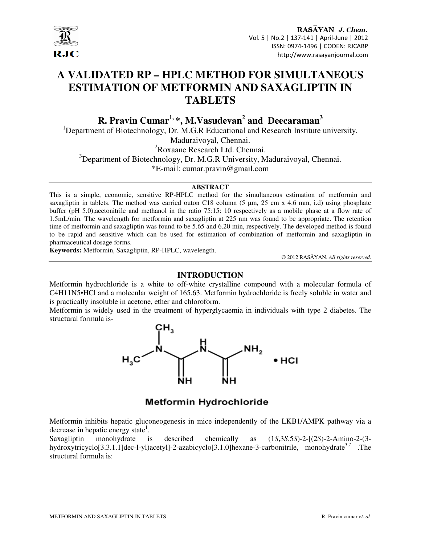

# **A VALIDATED RP – HPLC METHOD FOR SIMULTANEOUS ESTIMATION OF METFORMIN AND SAXAGLIPTIN IN TABLETS**

**R. Pravin Cumar1, \*, M.Vasudevan<sup>2</sup> and Deecaraman<sup>3</sup>**

<sup>1</sup>Department of Biotechnology, Dr. M.G.R Educational and Research Institute university, Maduraivoyal, Chennai.

<sup>2</sup>Roxaane Research Ltd. Chennai.

<sup>3</sup>Department of Biotechnology, Dr. M.G.R University, Maduraivoyal, Chennai.

\*E-mail: cumar.pravin@gmail.com

#### **ABSTRACT**

This is a simple, economic, sensitive RP-HPLC method for the simultaneous estimation of metformin and saxagliptin in tablets. The method was carried outon C18 column (5 µm, 25 cm x 4.6 mm, i.d) using phosphate buffer (pH 5.0),acetonitrile and methanol in the ratio 75:15: 10 respectively as a mobile phase at a flow rate of 1.5mL/min. The wavelength for metformin and saxagliptin at 225 nm was found to be appropriate. The retention time of metformin and saxagliptin was found to be 5.65 and 6.20 min, respectively. The developed method is found to be rapid and sensitive which can be used for estimation of combination of metformin and saxagliptin in pharmaceutical dosage forms.

**Keywords:** Metformin, Saxagliptin, RP-HPLC, wavelength.

© 2012 RASĀYAN. *All rights reserved.*

## **INTRODUCTION**

Metformin hydrochloride is a white to off-white crystalline compound with a molecular formula of C4H11N5•HCl and a molecular weight of 165.63. Metformin hydrochloride is freely soluble in water and is practically insoluble in acetone, ether and chloroform.

Metformin is widely used in the treatment of hyperglycaemia in individuals with type 2 diabetes. The structural formula is-



## **Metformin Hydrochloride**

Metformin inhibits hepatic gluconeogenesis in mice independently of the LKB1/AMPK pathway via a decrease in hepatic energy state<sup>1</sup>.

Saxagliptin monohydrate is described chemically as (1*S*,3*S*,5*S*)-2-[(2*S*)-2-Amino-2-(3 hydroxytricyclo[3.3.1.1]dec-l-yl)acetyl]-2-azabicyclo[3.1.0]hexane-3-carbonitrile, monohydrate<sup>3,7</sup> .The structural formula is: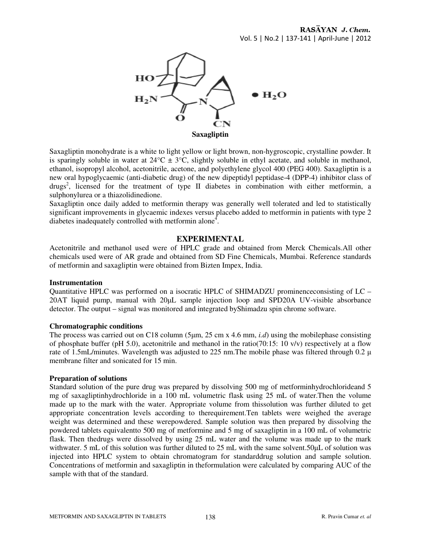

Saxagliptin monohydrate is a white to light yellow or light brown, non-hygroscopic, crystalline powder. It is sparingly soluble in water at  $24^{\circ}C \pm 3^{\circ}C$ , slightly soluble in ethyl acetate, and soluble in methanol, ethanol, isopropyl alcohol, acetonitrile, acetone, and polyethylene glycol 400 (PEG 400). Saxagliptin is a new oral hypoglycaemic (anti-diabetic drug) of the new dipeptidyl peptidase-4 (DPP-4) inhibitor class of drugs<sup>2</sup>, licensed for the treatment of type II diabetes in combination with either metformin, a sulphonylurea or a thiazolidinedione.

Saxagliptin once daily added to metformin therapy was generally well tolerated and led to statistically significant improvements in glycaemic indexes versus placebo added to metformin in patients with type 2 diabetes inadequately controlled with metformin alone<sup>4</sup>.

#### **EXPERIMENTAL**

Acetonitrile and methanol used were of HPLC grade and obtained from Merck Chemicals.All other chemicals used were of AR grade and obtained from SD Fine Chemicals, Mumbai. Reference standards of metformin and saxagliptin were obtained from Bizten Impex, India.

#### **Instrumentation**

Quantitative HPLC was performed on a isocratic HPLC of SHIMADZU prominenceconsisting of LC – 20AT liquid pump, manual with 20µL sample injection loop and SPD20A UV-visible absorbance detector. The output – signal was monitored and integrated byShimadzu spin chrome software.

#### **Chromatographic conditions**

The process was carried out on C18 column (5µm, 25 cm x 4.6 mm, *i.d*) using the mobilephase consisting of phosphate buffer (pH 5.0), acetonitrile and methanol in the ratio(70:15: 10 v/v) respectively at a flow rate of 1.5mL/minutes. Wavelength was adjusted to 225 nm. The mobile phase was filtered through 0.2  $\mu$ membrane filter and sonicated for 15 min.

#### **Preparation of solutions**

Standard solution of the pure drug was prepared by dissolving 500 mg of metforminhydrochlorideand 5 mg of saxagliptinhydrochloride in a 100 mL volumetric flask using 25 mL of water.Then the volume made up to the mark with the water. Appropriate volume from thissolution was further diluted to get appropriate concentration levels according to therequirement.Ten tablets were weighed the average weight was determined and these werepowdered. Sample solution was then prepared by dissolving the powdered tablets equivalentto 500 mg of metformine and 5 mg of saxagliptin in a 100 mL of volumetric flask. Then thedrugs were dissolved by using 25 mL water and the volume was made up to the mark withwater. 5 mL of this solution was further diluted to 25 mL with the same solvent.50 $\mu$ L of solution was injected into HPLC system to obtain chromatogram for standarddrug solution and sample solution. Concentrations of metformin and saxagliptin in theformulation were calculated by comparing AUC of the sample with that of the standard.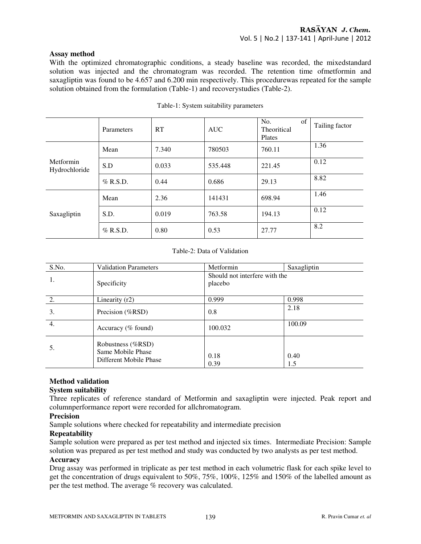#### **Assay method**

With the optimized chromatographic conditions, a steady baseline was recorded, the mixedstandard solution was injected and the chromatogram was recorded. The retention time ofmetformin and saxagliptin was found to be 4.657 and 6.200 min respectively. This procedurewas repeated for the sample solution obtained from the formulation (Table-1) and recoverystudies (Table-2).

|                            | Parameters | RT    | <b>AUC</b> | No.<br>of<br>Theoritical<br>Plates | Tailing factor |
|----------------------------|------------|-------|------------|------------------------------------|----------------|
| Metformin<br>Hydrochloride | Mean       | 7.340 | 780503     | 760.11                             | 1.36           |
|                            | S.D        | 0.033 | 535.448    | 221.45                             | 0.12           |
|                            | $%$ R.S.D. | 0.44  | 0.686      | 29.13                              | 8.82           |
| Saxagliptin                | Mean       | 2.36  | 141431     | 698.94                             | 1.46           |
|                            | S.D.       | 0.019 | 763.58     | 194.13                             | 0.12           |
|                            | $%$ R.S.D. | 0.80  | 0.53       | 27.77                              | 8.2            |

#### Table-1: System suitability parameters

#### Table-2: Data of Validation

| S.No.            | <b>Validation Parameters</b>                                     | Metformin    | Saxagliptin                   |  |  |
|------------------|------------------------------------------------------------------|--------------|-------------------------------|--|--|
| 1.               | Specificity                                                      | placebo      | Should not interfere with the |  |  |
| 2.               | Linearity $(r2)$                                                 | 0.999        | 0.998                         |  |  |
| 3.               | Precision (%RSD)                                                 | 0.8          | 2.18                          |  |  |
| $\overline{4}$ . | Accuracy ( $%$ found)                                            | 100.032      | 100.09                        |  |  |
| 5.               | Robustness (%RSD)<br>Same Mobile Phase<br>Different Mobile Phase | 0.18<br>0.39 | 0.40<br>1.5                   |  |  |

## **Method validation**

## **System suitability**

Three replicates of reference standard of Metformin and saxagliptin were injected. Peak report and columnperformance report were recorded for allchromatogram.

## **Precision**

Sample solutions where checked for repeatability and intermediate precision

## **Repeatability**

Sample solution were prepared as per test method and injected six times. Intermediate Precision: Sample solution was prepared as per test method and study was conducted by two analysts as per test method.

## **Accuracy**

Drug assay was performed in triplicate as per test method in each volumetric flask for each spike level to get the concentration of drugs equivalent to 50%, 75%, 100%, 125% and 150% of the labelled amount as per the test method. The average % recovery was calculated.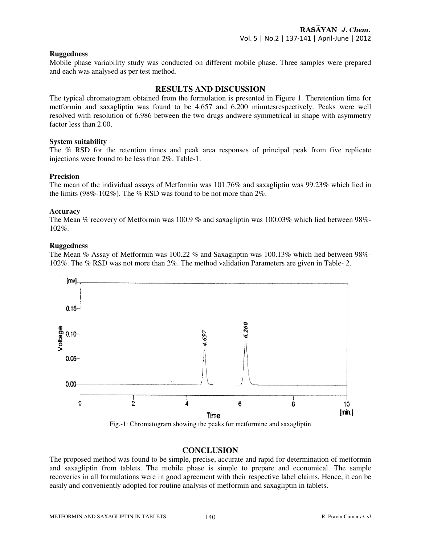#### **Ruggedness**

Mobile phase variability study was conducted on different mobile phase. Three samples were prepared and each was analysed as per test method.

## **RESULTS AND DISCUSSION**

The typical chromatogram obtained from the formulation is presented in Figure 1. Theretention time for metformin and saxagliptin was found to be 4.657 and 6.200 minutesrespectively. Peaks were well resolved with resolution of 6.986 between the two drugs andwere symmetrical in shape with asymmetry factor less than 2.00.

#### **System suitability**

The % RSD for the retention times and peak area responses of principal peak from five replicate injections were found to be less than 2%. Table-1.

#### **Precision**

The mean of the individual assays of Metformin was 101.76% and saxagliptin was 99.23% which lied in the limits (98%-102%). The % RSD was found to be not more than 2%.

#### **Accuracy**

The Mean % recovery of Metformin was 100.9 % and saxagliptin was 100.03% which lied between 98%- 102%.

#### **Ruggedness**

The Mean % Assay of Metformin was 100.22 % and Saxagliptin was 100.13% which lied between 98%- 102%. The % RSD was not more than 2%. The method validation Parameters are given in Table- 2.



Fig.-1: Chromatogram showing the peaks for metformine and saxagliptin

## **CONCLUSION**

The proposed method was found to be simple, precise, accurate and rapid for determination of metformin and saxagliptin from tablets. The mobile phase is simple to prepare and economical. The sample recoveries in all formulations were in good agreement with their respective label claims. Hence, it can be easily and conveniently adopted for routine analysis of metformin and saxagliptin in tablets.